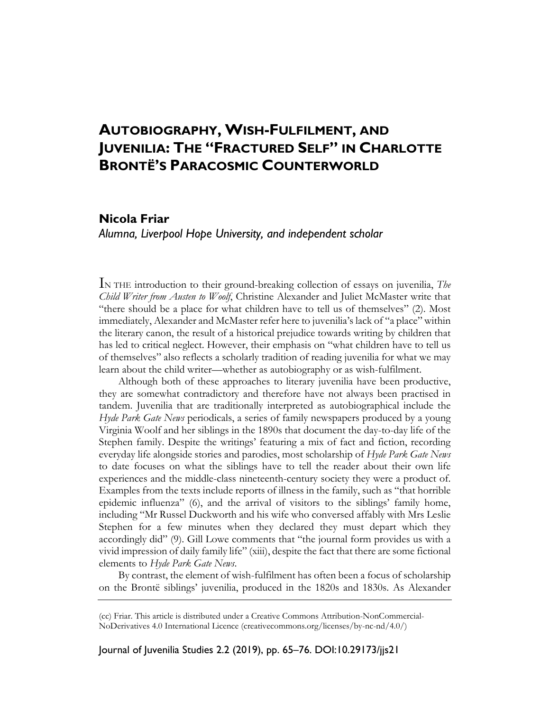# **AUTOBIOGRAPHY, WISH-FULFILMENT, AND JUVENILIA: THE "FRACTURED SELF" IN CHARLOTTE BRONTË'S PARACOSMIC COUNTERWORLD**

# **Nicola Friar**

*Alumna, Liverpool Hope University, and independent scholar* 

IN THE introduction to their ground-breaking collection of essays on juvenilia, *The Child Writer from Austen to Woolf*, Christine Alexander and Juliet McMaster write that "there should be a place for what children have to tell us of themselves" (2). Most immediately, Alexander and McMaster refer here to juvenilia's lack of "a place" within the literary canon, the result of a historical prejudice towards writing by children that has led to critical neglect. However, their emphasis on "what children have to tell us of themselves" also reflects a scholarly tradition of reading juvenilia for what we may learn about the child writer—whether as autobiography or as wish-fulfilment.

Although both of these approaches to literary juvenilia have been productive, they are somewhat contradictory and therefore have not always been practised in tandem. Juvenilia that are traditionally interpreted as autobiographical include the *Hyde Park Gate News* periodicals, a series of family newspapers produced by a young Virginia Woolf and her siblings in the 1890s that document the day-to-day life of the Stephen family. Despite the writings' featuring a mix of fact and fiction, recording everyday life alongside stories and parodies, most scholarship of *Hyde Park Gate News*  to date focuses on what the siblings have to tell the reader about their own life experiences and the middle-class nineteenth-century society they were a product of. Examples from the texts include reports of illness in the family, such as "that horrible epidemic influenza" (6), and the arrival of visitors to the siblings' family home, including "Mr Russel Duckworth and his wife who conversed affably with Mrs Leslie Stephen for a few minutes when they declared they must depart which they accordingly did" (9). Gill Lowe comments that "the journal form provides us with a vivid impression of daily family life" (xiii), despite the fact that there are some fictional elements to *Hyde Park Gate News*.

By contrast, the element of wish-fulfilment has often been a focus of scholarship on the Brontë siblings' juvenilia, produced in the 1820s and 1830s. As Alexander

Journal of Juvenilia Studies 2.2 (2019), pp. 65–76. DOI:10.29173/jjs21

<sup>(</sup>cc) Friar. This article is distributed under a Creative Commons Attribution-NonCommercial-NoDerivatives 4.0 International Licence (creativecommons.org/licenses/by-nc-nd/4.0/)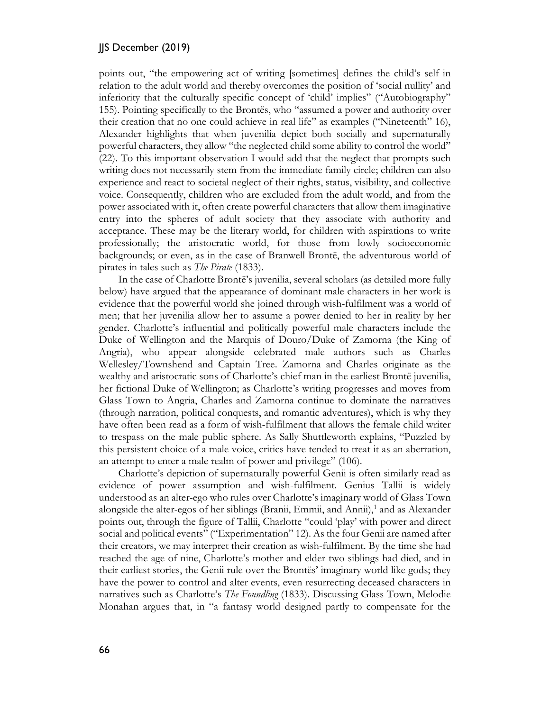points out, "the empowering act of writing [sometimes] defines the child's self in relation to the adult world and thereby overcomes the position of 'social nullity' and inferiority that the culturally specific concept of 'child' implies" ("Autobiography" 155). Pointing specifically to the Brontës, who "assumed a power and authority over their creation that no one could achieve in real life" as examples ("Nineteenth" 16), Alexander highlights that when juvenilia depict both socially and supernaturally powerful characters, they allow "the neglected child some ability to control the world" (22). To this important observation I would add that the neglect that prompts such writing does not necessarily stem from the immediate family circle; children can also experience and react to societal neglect of their rights, status, visibility, and collective voice. Consequently, children who are excluded from the adult world, and from the power associated with it, often create powerful characters that allow them imaginative entry into the spheres of adult society that they associate with authority and acceptance. These may be the literary world, for children with aspirations to write professionally; the aristocratic world, for those from lowly socioeconomic backgrounds; or even, as in the case of Branwell Brontë, the adventurous world of pirates in tales such as *The Pirate* (1833).

In the case of Charlotte Brontë's juvenilia, several scholars (as detailed more fully below) have argued that the appearance of dominant male characters in her work is evidence that the powerful world she joined through wish-fulfilment was a world of men; that her juvenilia allow her to assume a power denied to her in reality by her gender. Charlotte's influential and politically powerful male characters include the Duke of Wellington and the Marquis of Douro/Duke of Zamorna (the King of Angria), who appear alongside celebrated male authors such as Charles Wellesley/Townshend and Captain Tree. Zamorna and Charles originate as the wealthy and aristocratic sons of Charlotte's chief man in the earliest Brontë juvenilia, her fictional Duke of Wellington; as Charlotte's writing progresses and moves from Glass Town to Angria, Charles and Zamorna continue to dominate the narratives (through narration, political conquests, and romantic adventures), which is why they have often been read as a form of wish-fulfilment that allows the female child writer to trespass on the male public sphere. As Sally Shuttleworth explains, "Puzzled by this persistent choice of a male voice, critics have tended to treat it as an aberration, an attempt to enter a male realm of power and privilege" (106).

Charlotte's depiction of supernaturally powerful Genii is often similarly read as evidence of power assumption and wish-fulfilment. Genius Tallii is widely understood as an alter-ego who rules over Charlotte's imaginary world of Glass Town alongside the alter-egos of her siblings (Branii, Emmii, and Annii), $<sup>1</sup>$  and as Alexander</sup> points out, through the figure of Tallii, Charlotte "could 'play' with power and direct social and political events" ("Experimentation" 12). As the four Genii are named after their creators, we may interpret their creation as wish-fulfilment. By the time she had reached the age of nine, Charlotte's mother and elder two siblings had died, and in their earliest stories, the Genii rule over the Brontës' imaginary world like gods; they have the power to control and alter events, even resurrecting deceased characters in narratives such as Charlotte's *The Foundling* (1833). Discussing Glass Town, Melodie Monahan argues that, in "a fantasy world designed partly to compensate for the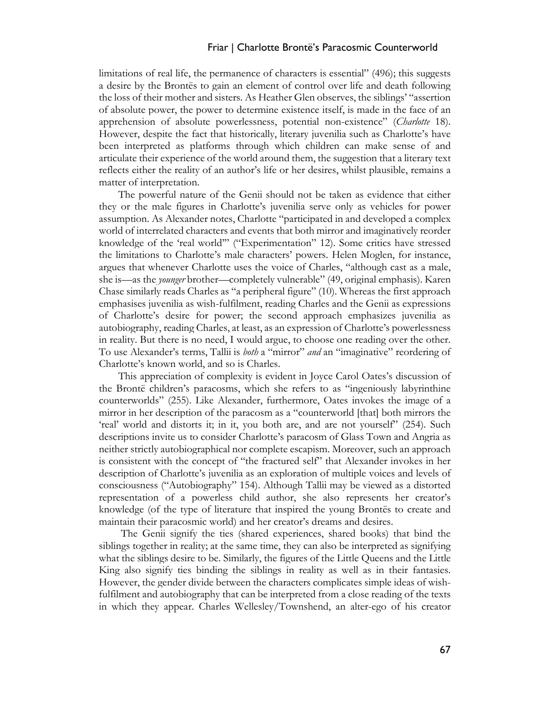### Friar | Charlotte Brontë's Paracosmic Counterworld

limitations of real life, the permanence of characters is essential" (496); this suggests a desire by the Brontës to gain an element of control over life and death following the loss of their mother and sisters. As Heather Glen observes, the siblings' "assertion of absolute power, the power to determine existence itself, is made in the face of an apprehension of absolute powerlessness, potential non-existence" (*Charlotte* 18). However, despite the fact that historically, literary juvenilia such as Charlotte's have been interpreted as platforms through which children can make sense of and articulate their experience of the world around them, the suggestion that a literary text reflects either the reality of an author's life or her desires, whilst plausible, remains a matter of interpretation.

The powerful nature of the Genii should not be taken as evidence that either they or the male figures in Charlotte's juvenilia serve only as vehicles for power assumption. As Alexander notes, Charlotte "participated in and developed a complex world of interrelated characters and events that both mirror and imaginatively reorder knowledge of the 'real world'" ("Experimentation" 12). Some critics have stressed the limitations to Charlotte's male characters' powers. Helen Moglen, for instance, argues that whenever Charlotte uses the voice of Charles, "although cast as a male, she is—as the *younger* brother—completely vulnerable" (49, original emphasis). Karen Chase similarly reads Charles as "a peripheral figure" (10). Whereas the first approach emphasises juvenilia as wish-fulfilment, reading Charles and the Genii as expressions of Charlotte's desire for power; the second approach emphasizes juvenilia as autobiography, reading Charles, at least, as an expression of Charlotte's powerlessness in reality. But there is no need, I would argue, to choose one reading over the other. To use Alexander's terms, Tallii is *both* a "mirror" *and* an "imaginative" reordering of Charlotte's known world, and so is Charles.

This appreciation of complexity is evident in Joyce Carol Oates's discussion of the Brontë children's paracosms, which she refers to as "ingeniously labyrinthine counterworlds" (255). Like Alexander, furthermore, Oates invokes the image of a mirror in her description of the paracosm as a "counterworld [that] both mirrors the 'real' world and distorts it; in it, you both are, and are not yourself" (254). Such descriptions invite us to consider Charlotte's paracosm of Glass Town and Angria as neither strictly autobiographical nor complete escapism. Moreover, such an approach is consistent with the concept of "the fractured self" that Alexander invokes in her description of Charlotte's juvenilia as an exploration of multiple voices and levels of consciousness ("Autobiography" 154). Although Tallii may be viewed as a distorted representation of a powerless child author, she also represents her creator's knowledge (of the type of literature that inspired the young Brontës to create and maintain their paracosmic world) and her creator's dreams and desires.

The Genii signify the ties (shared experiences, shared books) that bind the siblings together in reality; at the same time, they can also be interpreted as signifying what the siblings desire to be. Similarly, the figures of the Little Queens and the Little King also signify ties binding the siblings in reality as well as in their fantasies. However, the gender divide between the characters complicates simple ideas of wishfulfilment and autobiography that can be interpreted from a close reading of the texts in which they appear. Charles Wellesley/Townshend, an alter-ego of his creator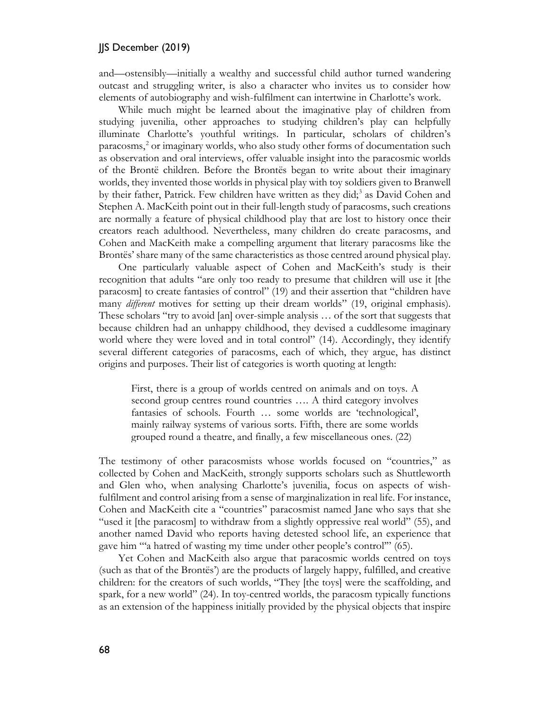and—ostensibly—initially a wealthy and successful child author turned wandering outcast and struggling writer, is also a character who invites us to consider how elements of autobiography and wish-fulfilment can intertwine in Charlotte's work.

While much might be learned about the imaginative play of children from studying juvenilia, other approaches to studying children's play can helpfully illuminate Charlotte's youthful writings. In particular, scholars of children's paracosms,<sup>[2](#page-9-1)</sup> or imaginary worlds, who also study other forms of documentation such as observation and oral interviews, offer valuable insight into the paracosmic worlds of the Brontë children. Before the Brontës began to write about their imaginary worlds, they invented those worlds in physical play with toy soldiers given to Branwell by their father, Patrick. Few children have written as they did;<sup>[3](#page-9-2)</sup> as David Cohen and Stephen A. MacKeith point out in their full-length study of paracosms, such creations are normally a feature of physical childhood play that are lost to history once their creators reach adulthood. Nevertheless, many children do create paracosms, and Cohen and MacKeith make a compelling argument that literary paracosms like the Brontës' share many of the same characteristics as those centred around physical play.

One particularly valuable aspect of Cohen and MacKeith's study is their recognition that adults "are only too ready to presume that children will use it [the paracosm] to create fantasies of control" (19) and their assertion that "children have many *different* motives for setting up their dream worlds" (19, original emphasis). These scholars "try to avoid [an] over-simple analysis … of the sort that suggests that because children had an unhappy childhood, they devised a cuddlesome imaginary world where they were loved and in total control" (14). Accordingly, they identify several different categories of paracosms, each of which, they argue, has distinct origins and purposes. Their list of categories is worth quoting at length:

First, there is a group of worlds centred on animals and on toys. A second group centres round countries .... A third category involves fantasies of schools. Fourth … some worlds are 'technological', mainly railway systems of various sorts. Fifth, there are some worlds grouped round a theatre, and finally, a few miscellaneous ones. (22)

The testimony of other paracosmists whose worlds focused on "countries," as collected by Cohen and MacKeith, strongly supports scholars such as Shuttleworth and Glen who, when analysing Charlotte's juvenilia, focus on aspects of wishfulfilment and control arising from a sense of marginalization in real life. For instance, Cohen and MacKeith cite a "countries" paracosmist named Jane who says that she "used it [the paracosm] to withdraw from a slightly oppressive real world" (55), and another named David who reports having detested school life, an experience that gave him "'a hatred of wasting my time under other people's control'" (65).

Yet Cohen and MacKeith also argue that paracosmic worlds centred on toys (such as that of the Brontës') are the products of largely happy, fulfilled, and creative children: for the creators of such worlds, "They [the toys] were the scaffolding, and spark, for a new world" (24). In toy-centred worlds, the paracosm typically functions as an extension of the happiness initially provided by the physical objects that inspire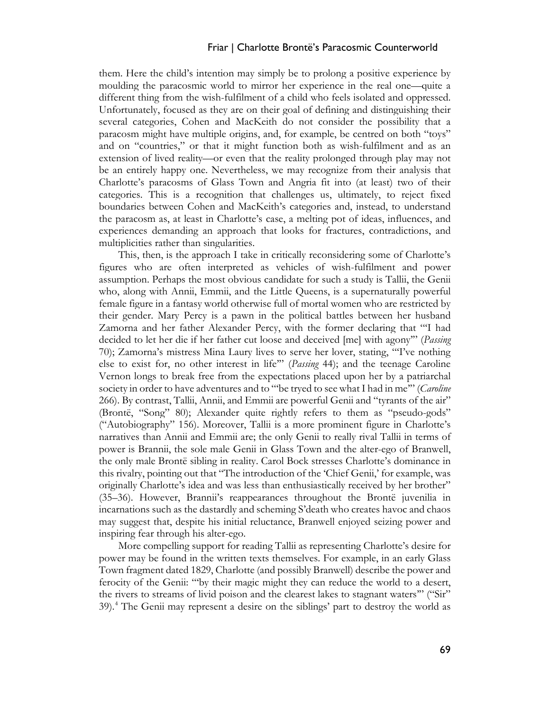#### Friar | Charlotte Brontë's Paracosmic Counterworld

them. Here the child's intention may simply be to prolong a positive experience by moulding the paracosmic world to mirror her experience in the real one—quite a different thing from the wish-fulfilment of a child who feels isolated and oppressed. Unfortunately, focused as they are on their goal of defining and distinguishing their several categories, Cohen and MacKeith do not consider the possibility that a paracosm might have multiple origins, and, for example, be centred on both "toys" and on "countries," or that it might function both as wish-fulfilment and as an extension of lived reality—or even that the reality prolonged through play may not be an entirely happy one. Nevertheless, we may recognize from their analysis that Charlotte's paracosms of Glass Town and Angria fit into (at least) two of their categories. This is a recognition that challenges us, ultimately, to reject fixed boundaries between Cohen and MacKeith's categories and, instead, to understand the paracosm as, at least in Charlotte's case, a melting pot of ideas, influences, and experiences demanding an approach that looks for fractures, contradictions, and multiplicities rather than singularities.

This, then, is the approach I take in critically reconsidering some of Charlotte's figures who are often interpreted as vehicles of wish-fulfilment and power assumption. Perhaps the most obvious candidate for such a study is Tallii, the Genii who, along with Annii, Emmii, and the Little Queens, is a supernaturally powerful female figure in a fantasy world otherwise full of mortal women who are restricted by their gender. Mary Percy is a pawn in the political battles between her husband Zamorna and her father Alexander Percy, with the former declaring that "'I had decided to let her die if her father cut loose and deceived [me] with agony'" (*Passing* 70); Zamorna's mistress Mina Laury lives to serve her lover, stating, "'I've nothing else to exist for, no other interest in life'" (*Passing* 44); and the teenage Caroline Vernon longs to break free from the expectations placed upon her by a patriarchal society in order to have adventures and to "'be tryed to see what I had in me'" (*Caroline* 266). By contrast, Tallii, Annii, and Emmii are powerful Genii and "tyrants of the air" (Brontë, "Song" 80); Alexander quite rightly refers to them as "pseudo-gods" ("Autobiography" 156). Moreover, Tallii is a more prominent figure in Charlotte's narratives than Annii and Emmii are; the only Genii to really rival Tallii in terms of power is Brannii, the sole male Genii in Glass Town and the alter-ego of Branwell, the only male Brontë sibling in reality. Carol Bock stresses Charlotte's dominance in this rivalry, pointing out that "The introduction of the 'Chief Genii,' for example, was originally Charlotte's idea and was less than enthusiastically received by her brother" (35–36). However, Brannii's reappearances throughout the Brontë juvenilia in incarnations such as the dastardly and scheming S'death who creates havoc and chaos may suggest that, despite his initial reluctance, Branwell enjoyed seizing power and inspiring fear through his alter-ego.

More compelling support for reading Tallii as representing Charlotte's desire for power may be found in the written texts themselves. For example, in an early Glass Town fragment dated 1829, Charlotte (and possibly Branwell) describe the power and ferocity of the Genii: "'by their magic might they can reduce the world to a desert, the rivers to streams of livid poison and the clearest lakes to stagnant waters'" ("Sir" 39). [4](#page-9-3) The Genii may represent a desire on the siblings' part to destroy the world as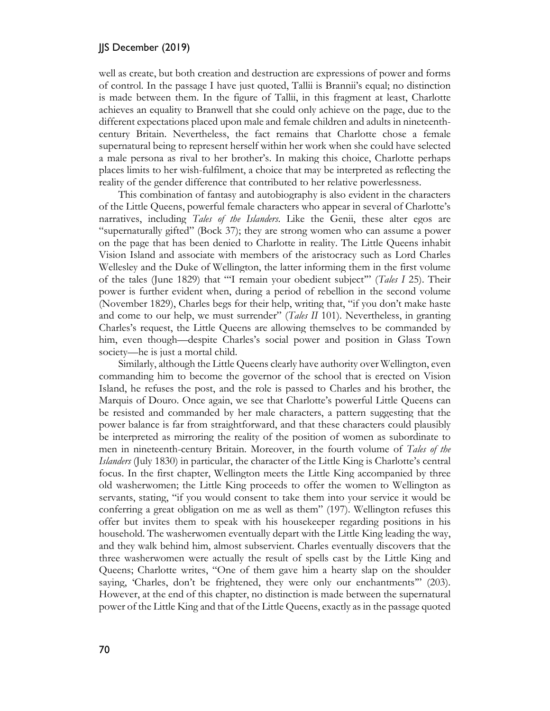well as create, but both creation and destruction are expressions of power and forms of control. In the passage I have just quoted, Tallii is Brannii's equal; no distinction is made between them. In the figure of Tallii, in this fragment at least, Charlotte achieves an equality to Branwell that she could only achieve on the page, due to the different expectations placed upon male and female children and adults in nineteenthcentury Britain. Nevertheless, the fact remains that Charlotte chose a female supernatural being to represent herself within her work when she could have selected a male persona as rival to her brother's. In making this choice, Charlotte perhaps places limits to her wish-fulfilment, a choice that may be interpreted as reflecting the reality of the gender difference that contributed to her relative powerlessness.

This combination of fantasy and autobiography is also evident in the characters of the Little Queens, powerful female characters who appear in several of Charlotte's narratives, including *Tales of the Islanders*. Like the Genii, these alter egos are "supernaturally gifted" (Bock 37); they are strong women who can assume a power on the page that has been denied to Charlotte in reality. The Little Queens inhabit Vision Island and associate with members of the aristocracy such as Lord Charles Wellesley and the Duke of Wellington, the latter informing them in the first volume of the tales (June 1829) that "'I remain your obedient subject'" (*Tales I* 25). Their power is further evident when, during a period of rebellion in the second volume (November 1829), Charles begs for their help, writing that, "if you don't make haste and come to our help, we must surrender" (*Tales II* 101). Nevertheless, in granting Charles's request, the Little Queens are allowing themselves to be commanded by him, even though—despite Charles's social power and position in Glass Town society—he is just a mortal child.

Similarly, although the Little Queens clearly have authority over Wellington, even commanding him to become the governor of the school that is erected on Vision Island, he refuses the post, and the role is passed to Charles and his brother, the Marquis of Douro. Once again, we see that Charlotte's powerful Little Queens can be resisted and commanded by her male characters, a pattern suggesting that the power balance is far from straightforward, and that these characters could plausibly be interpreted as mirroring the reality of the position of women as subordinate to men in nineteenth-century Britain. Moreover, in the fourth volume of *Tales of the Islanders* (July 1830) in particular, the character of the Little King is Charlotte's central focus. In the first chapter, Wellington meets the Little King accompanied by three old washerwomen; the Little King proceeds to offer the women to Wellington as servants, stating, "if you would consent to take them into your service it would be conferring a great obligation on me as well as them" (197). Wellington refuses this offer but invites them to speak with his housekeeper regarding positions in his household. The washerwomen eventually depart with the Little King leading the way, and they walk behind him, almost subservient. Charles eventually discovers that the three washerwomen were actually the result of spells cast by the Little King and Queens; Charlotte writes, "One of them gave him a hearty slap on the shoulder saying, 'Charles, don't be frightened, they were only our enchantments'" (203). However, at the end of this chapter, no distinction is made between the supernatural power of the Little King and that of the Little Queens, exactly as in the passage quoted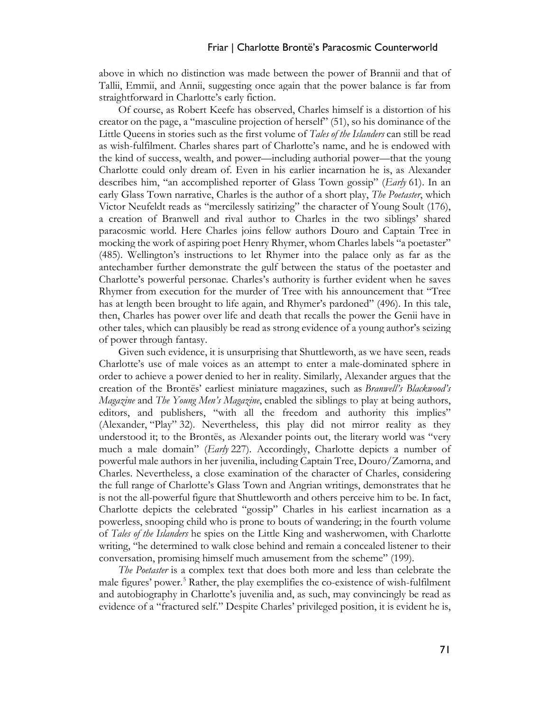above in which no distinction was made between the power of Brannii and that of Tallii, Emmii, and Annii, suggesting once again that the power balance is far from straightforward in Charlotte's early fiction.

Of course, as Robert Keefe has observed, Charles himself is a distortion of his creator on the page, a "masculine projection of herself" (51), so his dominance of the Little Queens in stories such as the first volume of *Tales of the Islanders* can still be read as wish-fulfilment. Charles shares part of Charlotte's name, and he is endowed with the kind of success, wealth, and power—including authorial power—that the young Charlotte could only dream of. Even in his earlier incarnation he is, as Alexander describes him, "an accomplished reporter of Glass Town gossip" (*Early* 61). In an early Glass Town narrative, Charles is the author of a short play, *The Poetaster*, which Victor Neufeldt reads as "mercilessly satirizing" the character of Young Soult (176), a creation of Branwell and rival author to Charles in the two siblings' shared paracosmic world. Here Charles joins fellow authors Douro and Captain Tree in mocking the work of aspiring poet Henry Rhymer, whom Charles labels "a poetaster" (485). Wellington's instructions to let Rhymer into the palace only as far as the antechamber further demonstrate the gulf between the status of the poetaster and Charlotte's powerful personae. Charles's authority is further evident when he saves Rhymer from execution for the murder of Tree with his announcement that "Tree has at length been brought to life again, and Rhymer's pardoned" (496). In this tale, then, Charles has power over life and death that recalls the power the Genii have in other tales, which can plausibly be read as strong evidence of a young author's seizing of power through fantasy.

Given such evidence, it is unsurprising that Shuttleworth, as we have seen, reads Charlotte's use of male voices as an attempt to enter a male-dominated sphere in order to achieve a power denied to her in reality. Similarly, Alexander argues that the creation of the Brontës' earliest miniature magazines, such as *Branwell's Blackwood's Magazine* and *The Young Men's Magazine*, enabled the siblings to play at being authors, editors, and publishers, "with all the freedom and authority this implies" (Alexander, "Play" 32). Nevertheless, this play did not mirror reality as they understood it; to the Brontës, as Alexander points out, the literary world was "very much a male domain" (*Early* 227). Accordingly, Charlotte depicts a number of powerful male authors in her juvenilia, including Captain Tree, Douro/Zamorna, and Charles. Nevertheless, a close examination of the character of Charles, considering the full range of Charlotte's Glass Town and Angrian writings, demonstrates that he is not the all-powerful figure that Shuttleworth and others perceive him to be. In fact, Charlotte depicts the celebrated "gossip" Charles in his earliest incarnation as a powerless, snooping child who is prone to bouts of wandering; in the fourth volume of *Tales of the Islanders* he spies on the Little King and washerwomen, with Charlotte writing, "he determined to walk close behind and remain a concealed listener to their conversation, promising himself much amusement from the scheme" (199).

*The Poetaster* is a complex text that does both more and less than celebrate the male figures' power.<sup>[5](#page-9-4)</sup> Rather, the play exemplifies the co-existence of wish-fulfilment and autobiography in Charlotte's juvenilia and, as such, may convincingly be read as evidence of a "fractured self." Despite Charles' privileged position, it is evident he is,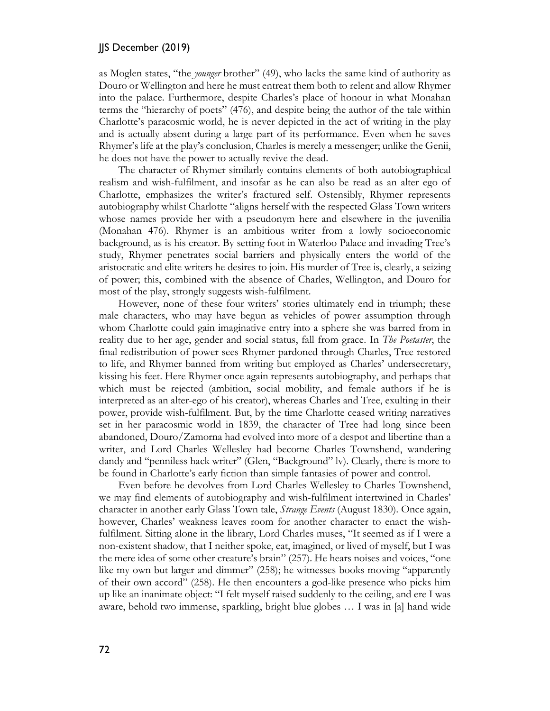as Moglen states, "the *younger* brother" (49), who lacks the same kind of authority as Douro or Wellington and here he must entreat them both to relent and allow Rhymer into the palace. Furthermore, despite Charles's place of honour in what Monahan terms the "hierarchy of poets" (476), and despite being the author of the tale within Charlotte's paracosmic world, he is never depicted in the act of writing in the play and is actually absent during a large part of its performance. Even when he saves Rhymer's life at the play's conclusion, Charles is merely a messenger; unlike the Genii, he does not have the power to actually revive the dead.

The character of Rhymer similarly contains elements of both autobiographical realism and wish-fulfilment, and insofar as he can also be read as an alter ego of Charlotte, emphasizes the writer's fractured self. Ostensibly, Rhymer represents autobiography whilst Charlotte "aligns herself with the respected Glass Town writers whose names provide her with a pseudonym here and elsewhere in the juvenilia (Monahan 476). Rhymer is an ambitious writer from a lowly socioeconomic background, as is his creator. By setting foot in Waterloo Palace and invading Tree's study, Rhymer penetrates social barriers and physically enters the world of the aristocratic and elite writers he desires to join. His murder of Tree is, clearly, a seizing of power; this, combined with the absence of Charles, Wellington, and Douro for most of the play, strongly suggests wish-fulfilment.

However, none of these four writers' stories ultimately end in triumph; these male characters, who may have begun as vehicles of power assumption through whom Charlotte could gain imaginative entry into a sphere she was barred from in reality due to her age, gender and social status, fall from grace. In *The Poetaster*, the final redistribution of power sees Rhymer pardoned through Charles, Tree restored to life, and Rhymer banned from writing but employed as Charles' undersecretary, kissing his feet. Here Rhymer once again represents autobiography, and perhaps that which must be rejected (ambition, social mobility, and female authors if he is interpreted as an alter-ego of his creator), whereas Charles and Tree, exulting in their power, provide wish-fulfilment. But, by the time Charlotte ceased writing narratives set in her paracosmic world in 1839, the character of Tree had long since been abandoned, Douro/Zamorna had evolved into more of a despot and libertine than a writer, and Lord Charles Wellesley had become Charles Townshend, wandering dandy and "penniless hack writer" (Glen, "Background" lv). Clearly, there is more to be found in Charlotte's early fiction than simple fantasies of power and control.

Even before he devolves from Lord Charles Wellesley to Charles Townshend, we may find elements of autobiography and wish-fulfilment intertwined in Charles' character in another early Glass Town tale, *Strange Events* (August 1830). Once again, however, Charles' weakness leaves room for another character to enact the wishfulfilment. Sitting alone in the library, Lord Charles muses, "It seemed as if I were a non-existent shadow, that I neither spoke, eat, imagined, or lived of myself, but I was the mere idea of some other creature's brain" (257). He hears noises and voices, "one like my own but larger and dimmer" (258); he witnesses books moving "apparently of their own accord" (258). He then encounters a god-like presence who picks him up like an inanimate object: "I felt myself raised suddenly to the ceiling, and ere I was aware, behold two immense, sparkling, bright blue globes … I was in [a] hand wide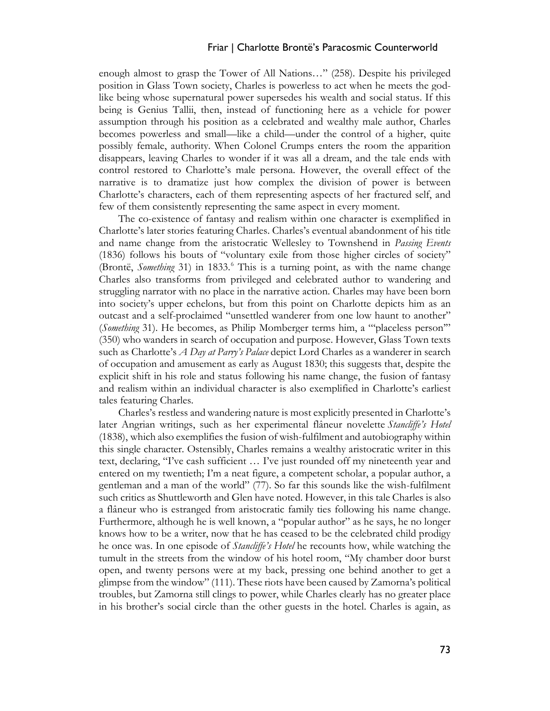#### Friar | Charlotte Brontë's Paracosmic Counterworld

enough almost to grasp the Tower of All Nations…" (258). Despite his privileged position in Glass Town society, Charles is powerless to act when he meets the godlike being whose supernatural power supersedes his wealth and social status. If this being is Genius Tallii, then, instead of functioning here as a vehicle for power assumption through his position as a celebrated and wealthy male author, Charles becomes powerless and small—like a child—under the control of a higher, quite possibly female, authority. When Colonel Crumps enters the room the apparition disappears, leaving Charles to wonder if it was all a dream, and the tale ends with control restored to Charlotte's male persona. However, the overall effect of the narrative is to dramatize just how complex the division of power is between Charlotte's characters, each of them representing aspects of her fractured self, and few of them consistently representing the same aspect in every moment.

The co-existence of fantasy and realism within one character is exemplified in Charlotte's later stories featuring Charles. Charles's eventual abandonment of his title and name change from the aristocratic Wellesley to Townshend in *Passing Events* (1836) follows his bouts of "voluntary exile from those higher circles of society" (Brontë, *Something* 31) in 1833.[6](#page-9-5) This is a turning point, as with the name change Charles also transforms from privileged and celebrated author to wandering and struggling narrator with no place in the narrative action. Charles may have been born into society's upper echelons, but from this point on Charlotte depicts him as an outcast and a self-proclaimed "unsettled wanderer from one low haunt to another" (*Something* 31). He becomes, as Philip Momberger terms him, a "'placeless person'" (350) who wanders in search of occupation and purpose. However, Glass Town texts such as Charlotte's *A Day at Parry's Palace* depict Lord Charles as a wanderer in search of occupation and amusement as early as August 1830; this suggests that, despite the explicit shift in his role and status following his name change, the fusion of fantasy and realism within an individual character is also exemplified in Charlotte's earliest tales featuring Charles.

Charles's restless and wandering nature is most explicitly presented in Charlotte's later Angrian writings, such as her experimental flâneur novelette *Stancliffe's Hotel*  (1838), which also exemplifies the fusion of wish-fulfilment and autobiography within this single character. Ostensibly, Charles remains a wealthy aristocratic writer in this text, declaring, "I've cash sufficient … I've just rounded off my nineteenth year and entered on my twentieth; I'm a neat figure, a competent scholar, a popular author, a gentleman and a man of the world" (77). So far this sounds like the wish-fulfilment such critics as Shuttleworth and Glen have noted. However, in this tale Charles is also a flâneur who is estranged from aristocratic family ties following his name change. Furthermore, although he is well known, a "popular author" as he says, he no longer knows how to be a writer, now that he has ceased to be the celebrated child prodigy he once was. In one episode of *Stancliffe's Hotel* he recounts how, while watching the tumult in the streets from the window of his hotel room, "My chamber door burst open, and twenty persons were at my back, pressing one behind another to get a glimpse from the window" (111). These riots have been caused by Zamorna's political troubles, but Zamorna still clings to power, while Charles clearly has no greater place in his brother's social circle than the other guests in the hotel. Charles is again, as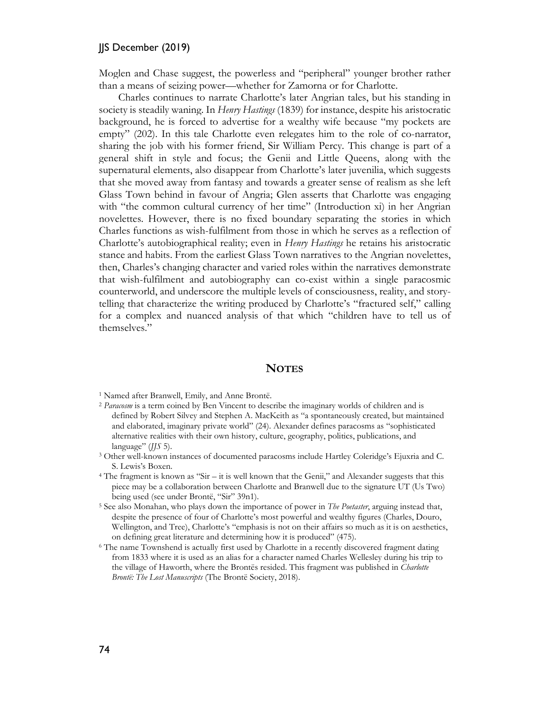Moglen and Chase suggest, the powerless and "peripheral" younger brother rather than a means of seizing power—whether for Zamorna or for Charlotte.

Charles continues to narrate Charlotte's later Angrian tales, but his standing in society is steadily waning. In *Henry Hastings* (1839) for instance, despite his aristocratic background, he is forced to advertise for a wealthy wife because "my pockets are empty" (202). In this tale Charlotte even relegates him to the role of co-narrator, sharing the job with his former friend, Sir William Percy*.* This change is part of a general shift in style and focus; the Genii and Little Queens, along with the supernatural elements, also disappear from Charlotte's later juvenilia, which suggests that she moved away from fantasy and towards a greater sense of realism as she left Glass Town behind in favour of Angria; Glen asserts that Charlotte was engaging with "the common cultural currency of her time" (Introduction xi) in her Angrian novelettes. However, there is no fixed boundary separating the stories in which Charles functions as wish-fulfilment from those in which he serves as a reflection of Charlotte's autobiographical reality; even in *Henry Hastings* he retains his aristocratic stance and habits. From the earliest Glass Town narratives to the Angrian novelettes, then, Charles's changing character and varied roles within the narratives demonstrate that wish-fulfilment and autobiography can co-exist within a single paracosmic counterworld, and underscore the multiple levels of consciousness, reality, and storytelling that characterize the writing produced by Charlotte's "fractured self," calling for a complex and nuanced analysis of that which "children have to tell us of themselves."

#### **NOTES**

- <span id="page-9-1"></span><sup>2</sup> *Paracosm* is a term coined by Ben Vincent to describe the imaginary worlds of children and is defined by Robert Silvey and Stephen A. MacKeith as "a spontaneously created, but maintained and elaborated, imaginary private world" (24). Alexander defines paracosms as "sophisticated alternative realities with their own history, culture, geography, politics, publications, and language" (*JJS* 5).
- <span id="page-9-2"></span><sup>3</sup> Other well-known instances of documented paracosms include Hartley Coleridge's Ejuxria and C. S. Lewis's Boxen. 4 The fragment is known as "Sir – it is well known that the Genii," and Alexander suggests that this
- <span id="page-9-3"></span>piece may be a collaboration between Charlotte and Branwell due to the signature UT (Us Two)
- <span id="page-9-4"></span>being used (see under Brontë, "Sir" 39n1). 5 See also Monahan, who plays down the importance of power in *The Poetaster*, arguing instead that, despite the presence of four of Charlotte's most powerful and wealthy figures (Charles, Douro, Wellington, and Tree), Charlotte's "emphasis is not on their affairs so much as it is on aesthetics, on defining great literature and determining how it is produced" (475).
- <span id="page-9-5"></span><sup>6</sup> The name Townshend is actually first used by Charlotte in a recently discovered fragment dating from 1833 where it is used as an alias for a character named Charles Wellesley during his trip to the village of Haworth, where the Brontës resided. This fragment was published in *Charlotte Brontë: The Lost Manuscripts* (The Brontë Society, 2018).

<span id="page-9-0"></span><sup>1</sup> Named after Branwell, Emily, and Anne Brontë.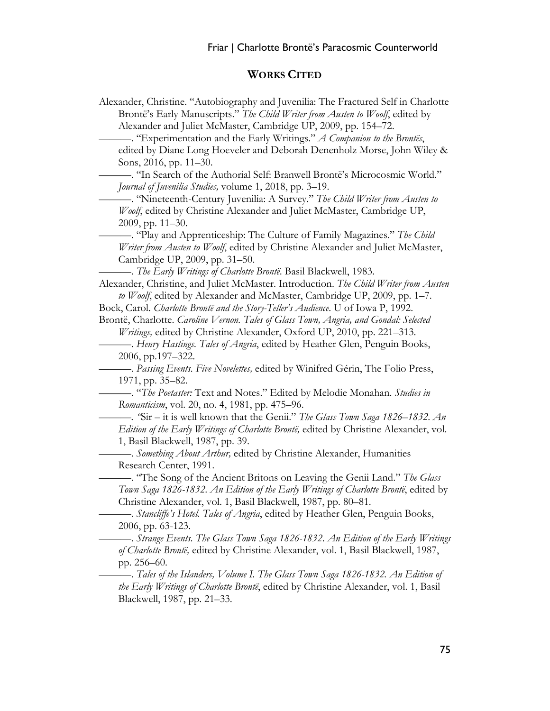# **WORKS CITED**

| Alexander, Christine. "Autobiography and Juvenilia: The Fractured Self in Charlotte    |
|----------------------------------------------------------------------------------------|
| Brontë's Early Manuscripts." The Child Writer from Austen to Woolf, edited by          |
| Alexander and Juliet McMaster, Cambridge UP, 2009, pp. 154-72.                         |
| - "Experimentation and the Early Writings." A Companion to the Brontës,                |
| edited by Diane Long Hoeveler and Deborah Denenholz Morse, John Wiley &                |
| Sons, 2016, pp. 11–30.                                                                 |
| -. "In Search of the Authorial Self: Branwell Brontë's Microcosmic World."             |
| Journal of Juvenilia Studies, volume 1, 2018, pp. 3–19.                                |
| - "Nineteenth-Century Juvenilia: A Survey." The Child Writer from Austen to            |
| Woolf, edited by Christine Alexander and Juliet McMaster, Cambridge UP,                |
| $2009$ , pp. $11-30$ .                                                                 |
| - "Play and Apprenticeship: The Culture of Family Magazines." The Child                |
| Writer from Austen to Woolf, edited by Christine Alexander and Juliet McMaster,        |
| Cambridge UP, 2009, pp. 31-50.                                                         |
| - The Early Writings of Charlotte Brontë. Basil Blackwell, 1983.                       |
| Alexander, Christine, and Juliet McMaster. Introduction. The Child Writer from Austen  |
| to Woolf, edited by Alexander and McMaster, Cambridge UP, 2009, pp. 1-7.               |
| Bock, Carol. Charlotte Brontë and the Story-Teller's Audience. U of Iowa P, 1992.      |
| Brontë, Charlotte. Caroline Vernon. Tales of Glass Town, Angria, and Gondal: Selected  |
| <i>Writings</i> , edited by Christine Alexander, Oxford UP, 2010, pp. 221–313.         |
| -. Henry Hastings. Tales of Angria, edited by Heather Glen, Penguin Books,             |
| 2006, pp.197-322.                                                                      |
| - Passing Events. Five Novelettes, edited by Winifred Gérin, The Folio Press,          |
| 1971, pp. 35–82.                                                                       |
| - "The Poetaster: Text and Notes." Edited by Melodie Monahan. Studies in               |
| Romanticism, vol. 20, no. 4, 1981, pp. 475-96.                                         |
| -. 'Sir – it is well known that the Genii." The Glass Town Saga 1826–1832. An          |
| Edition of the Early Writings of Charlotte Brontë, edited by Christine Alexander, vol. |
| 1, Basil Blackwell, 1987, pp. 39.                                                      |
| - Something About Arthur, edited by Christine Alexander, Humanities                    |
| Research Center, 1991.                                                                 |
| - "The Song of the Ancient Britons on Leaving the Genii Land." The Glass               |
| Town Saga 1826-1832. An Edition of the Early Writings of Charlotte Brontë, edited by   |
| Christine Alexander, vol. 1, Basil Blackwell, 1987, pp. 80-81.                         |
| -. Stancliffe's Hotel. Tales of Angria, edited by Heather Glen, Penguin Books,         |
| 2006, pp. 63-123.                                                                      |
| —. Strange Events. The Glass Town Saga 1826-1832. An Edition of the Early Writings     |
| of Charlotte Brontë, edited by Christine Alexander, vol. 1, Basil Blackwell, 1987,     |
| pp. 256-60.                                                                            |
| —. Tales of the Islanders, Volume I. The Glass Town Saga 1826-1832. An Edition of      |
| the Early Writings of Charlotte Bronte, edited by Christine Alexander, vol. 1, Basil   |
| Blackwell, 1987, pp. 21–33.                                                            |
|                                                                                        |
|                                                                                        |